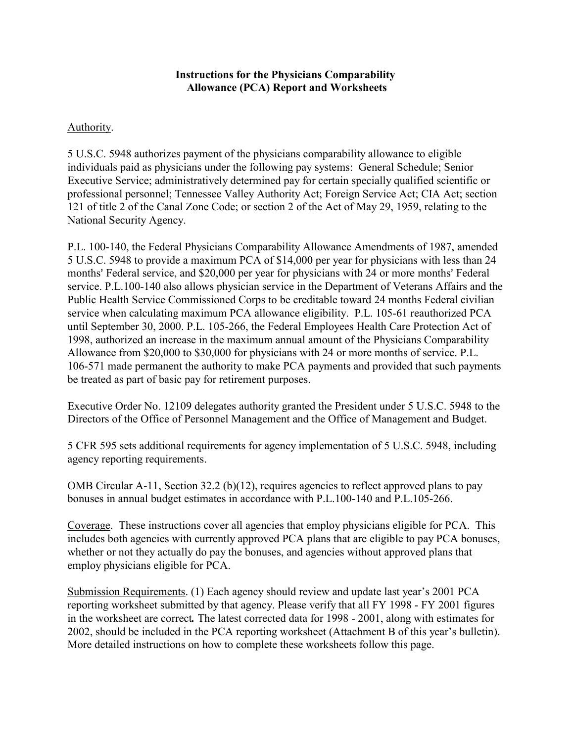## **Instructions for the Physicians Comparability Allowance (PCA) Report and Worksheets**

### Authority.

5 U.S.C. 5948 authorizes payment of the physicians comparability allowance to eligible individuals paid as physicians under the following pay systems: General Schedule; Senior Executive Service; administratively determined pay for certain specially qualified scientific or professional personnel; Tennessee Valley Authority Act; Foreign Service Act; CIA Act; section 121 of title 2 of the Canal Zone Code; or section 2 of the Act of May 29, 1959, relating to the National Security Agency.

P.L. 100-140, the Federal Physicians Comparability Allowance Amendments of 1987, amended 5 U.S.C. 5948 to provide a maximum PCA of \$14,000 per year for physicians with less than 24 months' Federal service, and \$20,000 per year for physicians with 24 or more months' Federal service. P.L.100-140 also allows physician service in the Department of Veterans Affairs and the Public Health Service Commissioned Corps to be creditable toward 24 months Federal civilian service when calculating maximum PCA allowance eligibility. P.L. 105-61 reauthorized PCA until September 30, 2000. P.L. 105-266, the Federal Employees Health Care Protection Act of 1998, authorized an increase in the maximum annual amount of the Physicians Comparability Allowance from \$20,000 to \$30,000 for physicians with 24 or more months of service. P.L. 106-571 made permanent the authority to make PCA payments and provided that such payments be treated as part of basic pay for retirement purposes.

Executive Order No. 12109 delegates authority granted the President under 5 U.S.C. 5948 to the Directors of the Office of Personnel Management and the Office of Management and Budget.

5 CFR 595 sets additional requirements for agency implementation of 5 U.S.C. 5948, including agency reporting requirements.

OMB Circular A-11, Section 32.2 (b)(12), requires agencies to reflect approved plans to pay bonuses in annual budget estimates in accordance with P.L.100-140 and P.L.105-266.

Coverage. These instructions cover all agencies that employ physicians eligible for PCA. This includes both agencies with currently approved PCA plans that are eligible to pay PCA bonuses, whether or not they actually do pay the bonuses, and agencies without approved plans that employ physicians eligible for PCA.

Submission Requirements. (1) Each agency should review and update last year's 2001 PCA reporting worksheet submitted by that agency. Please verify that all FY 1998 - FY 2001 figures in the worksheet are correct*.* The latest corrected data for 1998 - 2001, along with estimates for 2002, should be included in the PCA reporting worksheet (Attachment B of this year's bulletin). More detailed instructions on how to complete these worksheets follow this page.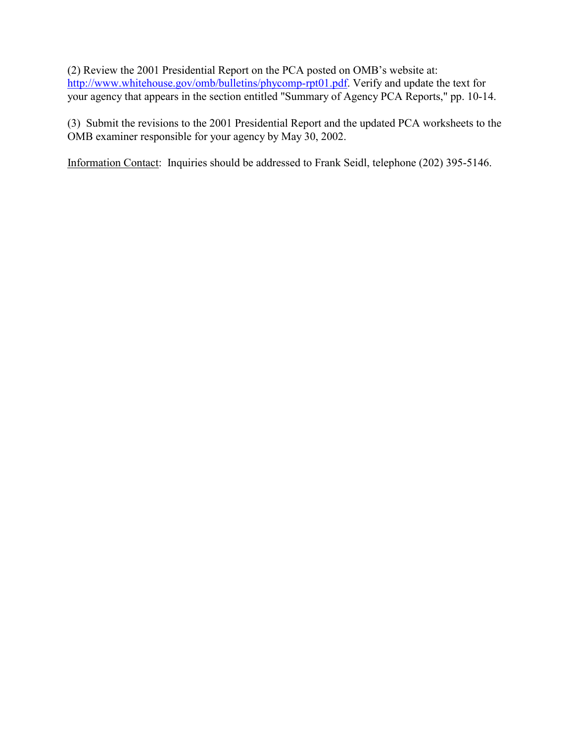(2) Review the 2001 Presidential Report on the PCA posted on OMB's website at: [http://www.whitehouse.gov/omb/bulletins/phycomp-rpt01.pdf.](http://www.whitehouse.gov/omb/bulletins/phycomp-rpt01.pdf) Verify and update the text for your agency that appears in the section entitled "Summary of Agency PCA Reports," pp. 10-14.

(3) Submit the revisions to the 2001 Presidential Report and the updated PCA worksheets to the OMB examiner responsible for your agency by May 30, 2002.

Information Contact: Inquiries should be addressed to Frank Seidl, telephone (202) 395-5146.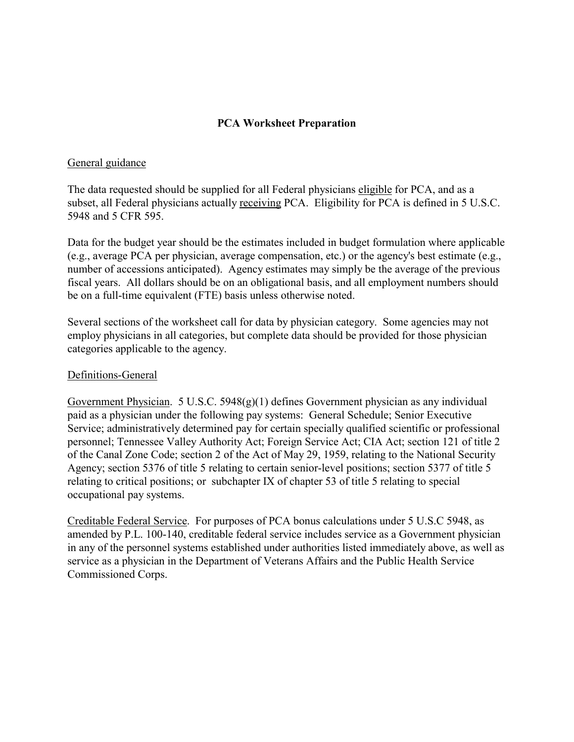# **PCA Worksheet Preparation**

#### General guidance

The data requested should be supplied for all Federal physicians eligible for PCA, and as a subset, all Federal physicians actually receiving PCA. Eligibility for PCA is defined in 5 U.S.C. 5948 and 5 CFR 595.

Data for the budget year should be the estimates included in budget formulation where applicable (e.g., average PCA per physician, average compensation, etc.) or the agency's best estimate (e.g., number of accessions anticipated). Agency estimates may simply be the average of the previous fiscal years. All dollars should be on an obligational basis, and all employment numbers should be on a full-time equivalent (FTE) basis unless otherwise noted.

Several sections of the worksheet call for data by physician category. Some agencies may not employ physicians in all categories, but complete data should be provided for those physician categories applicable to the agency.

### Definitions-General

Government Physician. 5 U.S.C. 5948(g)(1) defines Government physician as any individual paid as a physician under the following pay systems: General Schedule; Senior Executive Service; administratively determined pay for certain specially qualified scientific or professional personnel; Tennessee Valley Authority Act; Foreign Service Act; CIA Act; section 121 of title 2 of the Canal Zone Code; section 2 of the Act of May 29, 1959, relating to the National Security Agency; section 5376 of title 5 relating to certain senior-level positions; section 5377 of title 5 relating to critical positions; or subchapter IX of chapter 53 of title 5 relating to special occupational pay systems.

Creditable Federal Service. For purposes of PCA bonus calculations under 5 U.S.C 5948, as amended by P.L. 100-140, creditable federal service includes service as a Government physician in any of the personnel systems established under authorities listed immediately above, as well as service as a physician in the Department of Veterans Affairs and the Public Health Service Commissioned Corps.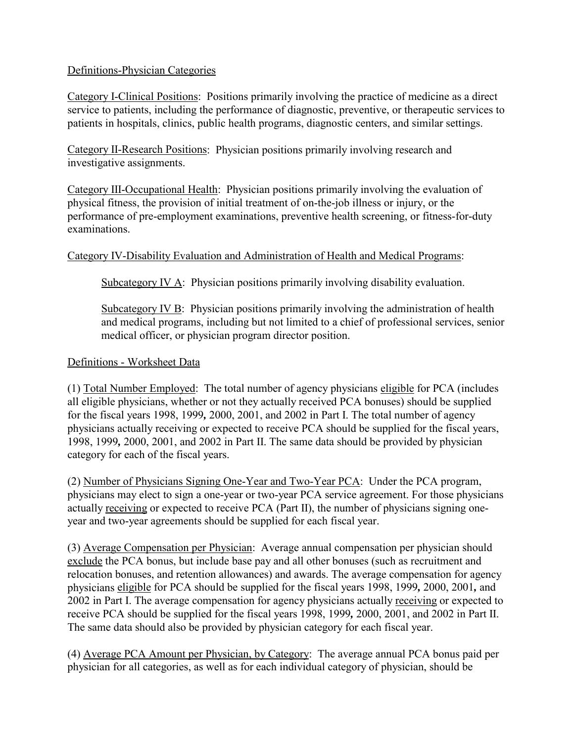## Definitions-Physician Categories

Category I-Clinical Positions: Positions primarily involving the practice of medicine as a direct service to patients, including the performance of diagnostic, preventive, or therapeutic services to patients in hospitals, clinics, public health programs, diagnostic centers, and similar settings.

Category II-Research Positions: Physician positions primarily involving research and investigative assignments.

Category III-Occupational Health: Physician positions primarily involving the evaluation of physical fitness, the provision of initial treatment of on-the-job illness or injury, or the performance of pre-employment examinations, preventive health screening, or fitness-for-duty examinations.

# Category IV-Disability Evaluation and Administration of Health and Medical Programs:

Subcategory IV A: Physician positions primarily involving disability evaluation.

Subcategory IV  $\overline{B}$ : Physician positions primarily involving the administration of health and medical programs, including but not limited to a chief of professional services, senior medical officer, or physician program director position.

## Definitions - Worksheet Data

(1) Total Number Employed: The total number of agency physicians eligible for PCA (includes all eligible physicians, whether or not they actually received PCA bonuses) should be supplied for the fiscal years 1998, 1999*,* 2000, 2001, and 2002 in Part I. The total number of agency physicians actually receiving or expected to receive PCA should be supplied for the fiscal years, 1998, 1999*,* 2000, 2001, and 2002 in Part II. The same data should be provided by physician category for each of the fiscal years.

(2) Number of Physicians Signing One-Year and Two-Year PCA: Under the PCA program, physicians may elect to sign a one-year or two-year PCA service agreement. For those physicians actually receiving or expected to receive PCA (Part II), the number of physicians signing oneyear and two-year agreements should be supplied for each fiscal year.

(3) Average Compensation per Physician: Average annual compensation per physician should exclude the PCA bonus, but include base pay and all other bonuses (such as recruitment and relocation bonuses, and retention allowances) and awards. The average compensation for agency physicians eligible for PCA should be supplied for the fiscal years 1998, 1999*,* 2000, 2001*,* and 2002 in Part I. The average compensation for agency physicians actually receiving or expected to receive PCA should be supplied for the fiscal years 1998, 1999*,* 2000, 2001, and 2002 in Part II. The same data should also be provided by physician category for each fiscal year.

(4) Average PCA Amount per Physician, by Category: The average annual PCA bonus paid per physician for all categories, as well as for each individual category of physician, should be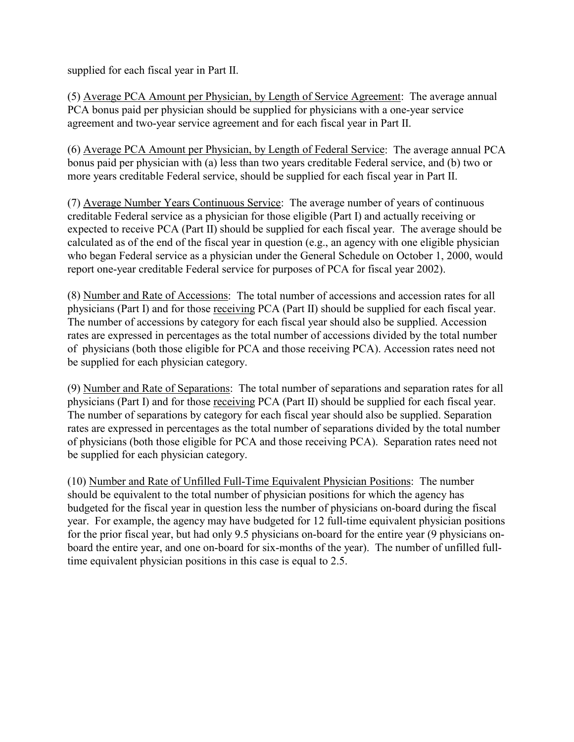supplied for each fiscal year in Part II.

(5) Average PCA Amount per Physician, by Length of Service Agreement: The average annual PCA bonus paid per physician should be supplied for physicians with a one-year service agreement and two-year service agreement and for each fiscal year in Part II.

(6) Average PCA Amount per Physician, by Length of Federal Service: The average annual PCA bonus paid per physician with (a) less than two years creditable Federal service, and (b) two or more years creditable Federal service, should be supplied for each fiscal year in Part II.

(7) Average Number Years Continuous Service: The average number of years of continuous creditable Federal service as a physician for those eligible (Part I) and actually receiving or expected to receive PCA (Part II) should be supplied for each fiscal year. The average should be calculated as of the end of the fiscal year in question (e.g., an agency with one eligible physician who began Federal service as a physician under the General Schedule on October 1, 2000, would report one-year creditable Federal service for purposes of PCA for fiscal year 2002).

(8) Number and Rate of Accessions: The total number of accessions and accession rates for all physicians (Part I) and for those receiving PCA (Part II) should be supplied for each fiscal year. The number of accessions by category for each fiscal year should also be supplied. Accession rates are expressed in percentages as the total number of accessions divided by the total number of physicians (both those eligible for PCA and those receiving PCA). Accession rates need not be supplied for each physician category.

(9) Number and Rate of Separations: The total number of separations and separation rates for all physicians (Part I) and for those receiving PCA (Part II) should be supplied for each fiscal year. The number of separations by category for each fiscal year should also be supplied. Separation rates are expressed in percentages as the total number of separations divided by the total number of physicians (both those eligible for PCA and those receiving PCA). Separation rates need not be supplied for each physician category.

(10) Number and Rate of Unfilled Full-Time Equivalent Physician Positions: The number should be equivalent to the total number of physician positions for which the agency has budgeted for the fiscal year in question less the number of physicians on-board during the fiscal year. For example, the agency may have budgeted for 12 full-time equivalent physician positions for the prior fiscal year, but had only 9.5 physicians on-board for the entire year (9 physicians onboard the entire year, and one on-board for six-months of the year). The number of unfilled fulltime equivalent physician positions in this case is equal to 2.5.